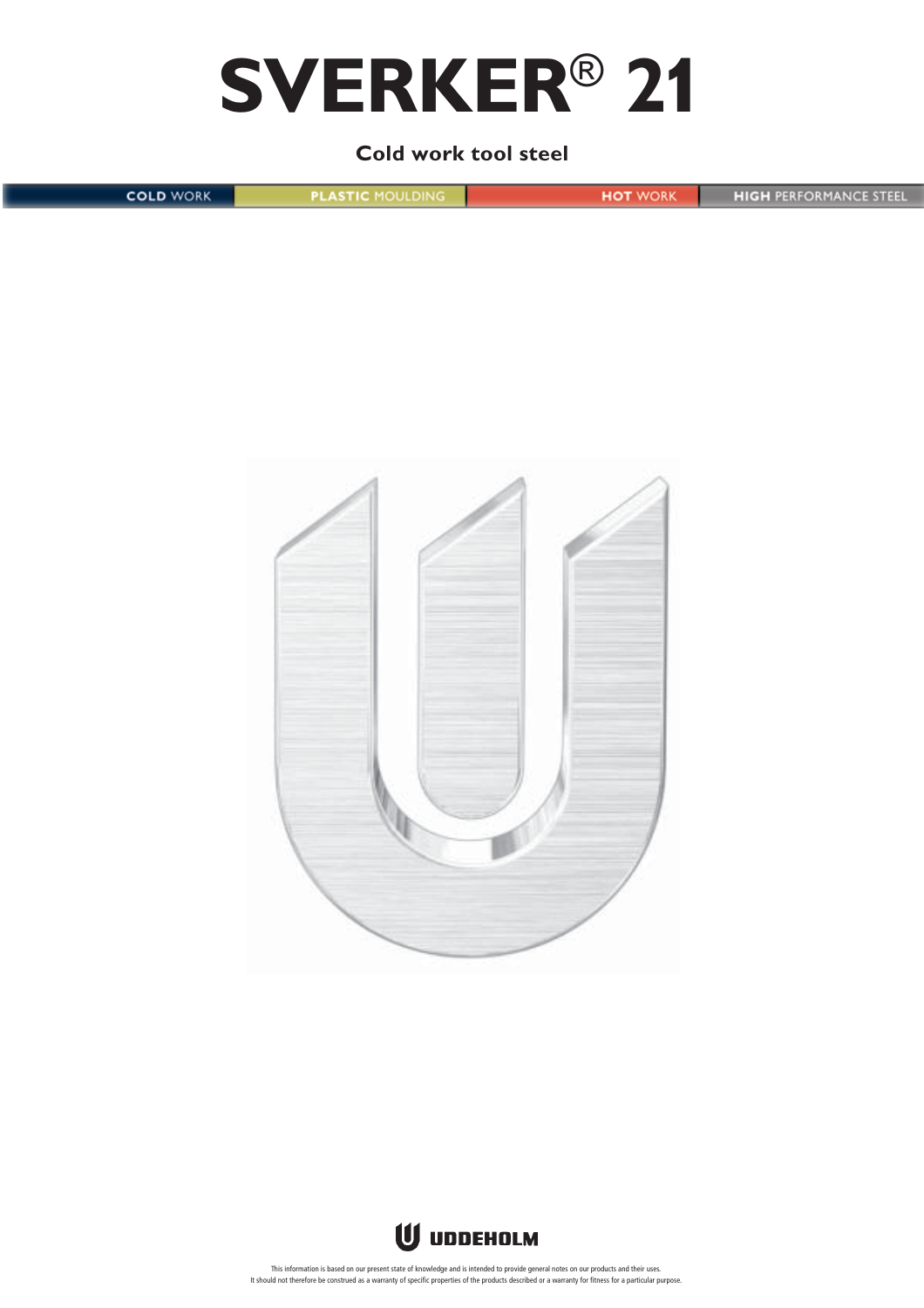# **SVERKER**® **21**

# **Cold work tool steel**

| <b>COLD WORK</b> | <b>PLASTIC MOULDING</b> | <b>HOT WORK</b> | <b>HIGH PERFORMANCE STEEL</b> |
|------------------|-------------------------|-----------------|-------------------------------|
|                  |                         |                 |                               |
|                  |                         |                 |                               |



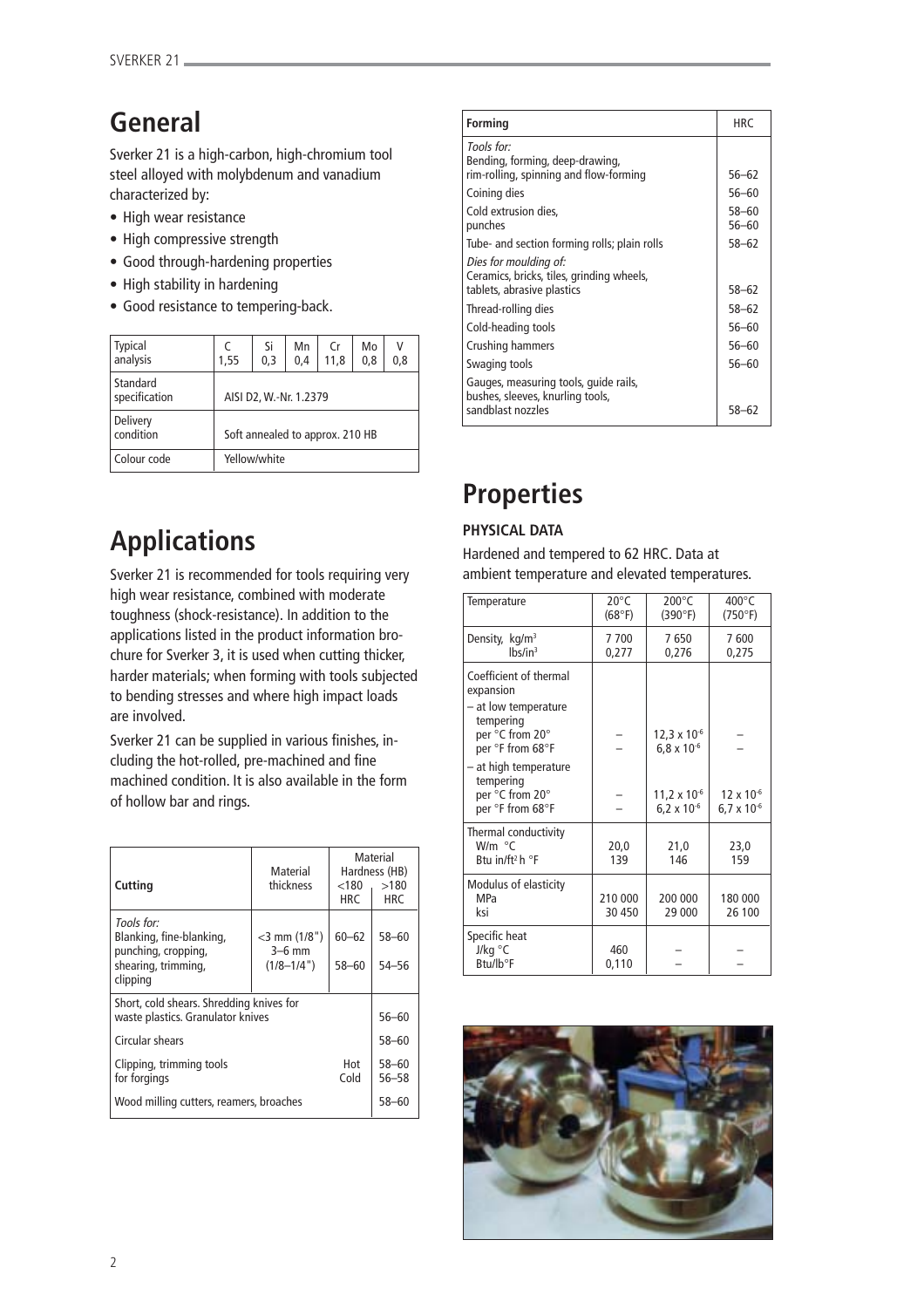# **General**

Sverker 21 is a high-carbon, high-chromium tool steel alloyed with molybdenum and vanadium characterized by:

- High wear resistance
- High compressive strength
- Good through-hardening properties
- High stability in hardening
- Good resistance to tempering-back.

| <b>Typical</b><br>analysis | 1.55                            | Si<br>0,3 | Mn<br>0,4 | Cr<br>11,8 | Mo<br>0,8 | ν<br>0.8 |
|----------------------------|---------------------------------|-----------|-----------|------------|-----------|----------|
| Standard<br>specification  | AISI D2, W.-Nr. 1.2379          |           |           |            |           |          |
| Delivery<br>condition      | Soft annealed to approx. 210 HB |           |           |            |           |          |
| Colour code                | Yellow/white                    |           |           |            |           |          |

# **Applications**

Sverker 21 is recommended for tools requiring very high wear resistance, combined with moderate toughness (shock-resistance). In addition to the applications listed in the product information brochure for Sverker 3, it is used when cutting thicker, harder materials; when forming with tools subjected to bending stresses and where high impact loads are involved.

Sverker 21 can be supplied in various finishes, including the hot-rolled, pre-machined and fine machined condition. It is also available in the form of hollow bar and rings.

| <b>Cutting</b>                                                                                   | Material<br>thickness                         | $<$ 180 $-$<br>HRC.    | Material<br>Hardness (HB)<br>>180<br>HRC |
|--------------------------------------------------------------------------------------------------|-----------------------------------------------|------------------------|------------------------------------------|
| Tools for:<br>Blanking, fine-blanking,<br>punching, cropping,<br>shearing, trimming,<br>clipping | $<$ 3 mm (1/8")<br>$3-6$ mm<br>$(1/8 - 1/4")$ | $60 - 62$<br>$58 - 60$ | 58-60<br>54–56                           |
| Short, cold shears. Shredding knives for<br>waste plastics. Granulator knives                    |                                               | $56 - 60$              |                                          |
| Circular shears                                                                                  |                                               |                        | 58-60                                    |
| Clipping, trimming tools<br>Hot<br>Cold<br>for forgings                                          |                                               |                        | $58 - 60$<br>56–58                       |
| Wood milling cutters, reamers, broaches                                                          |                                               |                        | 58–60                                    |

| <b>Forming</b>                                                                                   | <b>HRC</b>             |
|--------------------------------------------------------------------------------------------------|------------------------|
| Tools for:<br>Bending, forming, deep-drawing,<br>rim-rolling, spinning and flow-forming          | $56 - 62$              |
| Coining dies                                                                                     | $56 - 60$              |
| Cold extrusion dies,<br>punches                                                                  | $58 - 60$<br>$56 - 60$ |
| Tube- and section forming rolls; plain rolls                                                     | $58 - 62$              |
| Dies for moulding of:<br>Ceramics, bricks, tiles, grinding wheels,<br>tablets, abrasive plastics | $58 - 62$              |
| Thread-rolling dies                                                                              | 58-62                  |
| Cold-heading tools                                                                               | $56 - 60$              |
| Crushing hammers                                                                                 | $56 - 60$              |
| Swaging tools                                                                                    | $56 - 60$              |
| Gauges, measuring tools, guide rails,<br>bushes, sleeves, knurling tools,<br>sandblast nozzles   | 58-62                  |

# **Properties**

# **PHYSICAL DATA**

Hardened and tempered to 62 HRC. Data at ambient temperature and elevated temperatures.

| Temperature                                                                                                     | $20^{\circ}$ C<br>(68°F) | $200^{\circ}$ C<br>(390°F)                    | $400^{\circ}$ C<br>(750°F)                  |
|-----------------------------------------------------------------------------------------------------------------|--------------------------|-----------------------------------------------|---------------------------------------------|
| Density, kg/m <sup>3</sup><br>$lbs/in^3$                                                                        | 7700<br>0,277            | 7650<br>0,276                                 | 7600<br>0,275                               |
| Coefficient of thermal<br>expansion<br>- at low temperature<br>tempering<br>per °C from 20°<br>per °F from 68°F |                          | $12,3 \times 10^{-6}$<br>$6,8 \times 10^{-6}$ |                                             |
| - at high temperature<br>tempering<br>per °C from 20°<br>per °F from 68°F                                       |                          | $11,2 \times 10^{-6}$<br>$6.2 \times 10^{-6}$ | $12 \times 10^{-6}$<br>$6.7 \times 10^{-6}$ |
| Thermal conductivity<br>$W/m \text{ }^{\circ}C$<br>Btu in/ft <sup>2</sup> h °F                                  | 20,0<br>139              | 21,0<br>146                                   | 23,0<br>159                                 |
| Modulus of elasticity<br><b>MPa</b><br>ksi                                                                      | 210 000<br>30 450        | 200 000<br>29 000                             | 180 000<br>26 100                           |
| Specific heat<br>J/kg °C<br>Btu/lb°F                                                                            | 460<br>0,110             |                                               |                                             |

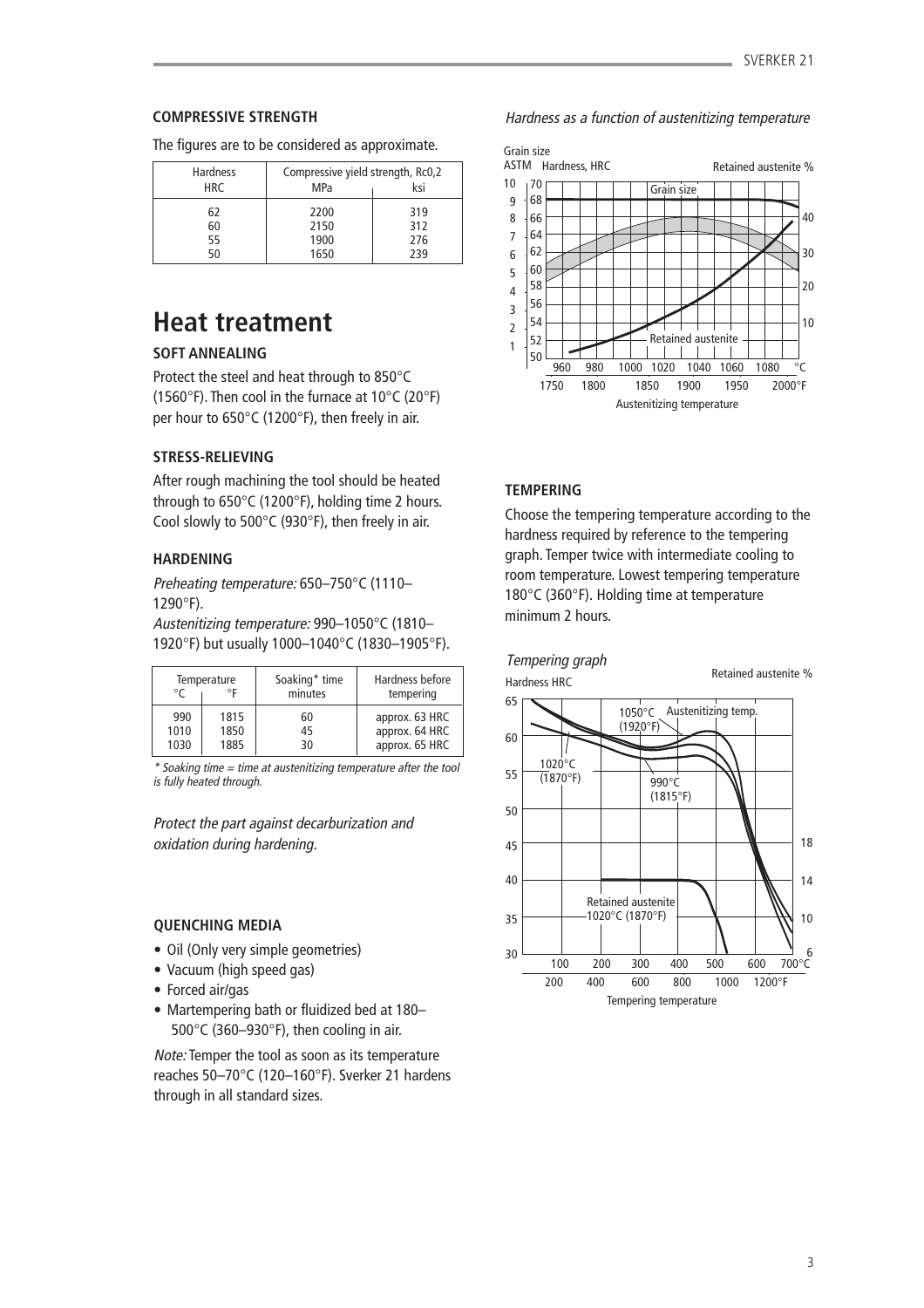# **COMPRESSIVE STRENGTH**

The figures are to be considered as approximate.

| <b>Hardness</b> | Compressive yield strength, Rc0,2 |     |
|-----------------|-----------------------------------|-----|
| <b>HRC</b>      | MPa                               | ksi |
| 62              | 2200                              | 319 |
| 60              | 2150                              | 312 |
| 55              | 1900                              | 276 |
| 50              | 1650                              | 239 |

# **Heat treatment**

# **SOFT ANNEALING**

Protect the steel and heat through to 850°C (1560°F). Then cool in the furnace at 10°C (20°F) per hour to 650°C (1200°F), then freely in air.

# **STRESS-RELIEVING**

After rough machining the tool should be heated through to 650°C (1200°F), holding time 2 hours. Cool slowly to 500°C (930°F), then freely in air.

# **HARDENING**

Preheating temperature: 650–750°C (1110– 1290°F).

Austenitizing temperature: 990–1050°C (1810– 1920°F) but usually 1000–1040°C (1830–1905°F).

| Temperature<br>٥F<br>$^{\circ}C$ |              | Soaking* time<br>minutes | Hardness before<br>tempering     |
|----------------------------------|--------------|--------------------------|----------------------------------|
| 990<br>1010                      | 1815<br>1850 | 60<br>45                 | approx. 63 HRC<br>approx. 64 HRC |
| 1030                             | 1885         | 30                       | approx. 65 HRC                   |

 $*$  Soaking time  $=$  time at austenitizing temperature after the tool is fully heated through.

Protect the part against decarburization and oxidation during hardening.

## **QUENCHING MEDIA**

- Oil (Only very simple geometries)
- Vacuum (high speed gas)
- Forced air/gas
- Martempering bath or fluidized bed at 180– 500°C (360–930°F), then cooling in air.

Note: Temper the tool as soon as its temperature reaches 50–70°C (120–160°F). Sverker 21 hardens through in all standard sizes.

# Hardness as a function of austenitizing temperature



# **TEMPERING**

Choose the tempering temperature according to the hardness required by reference to the tempering graph. Temper twice with intermediate cooling to room temperature. Lowest tempering temperature 180°C (360°F). Holding time at temperature minimum 2 hours.

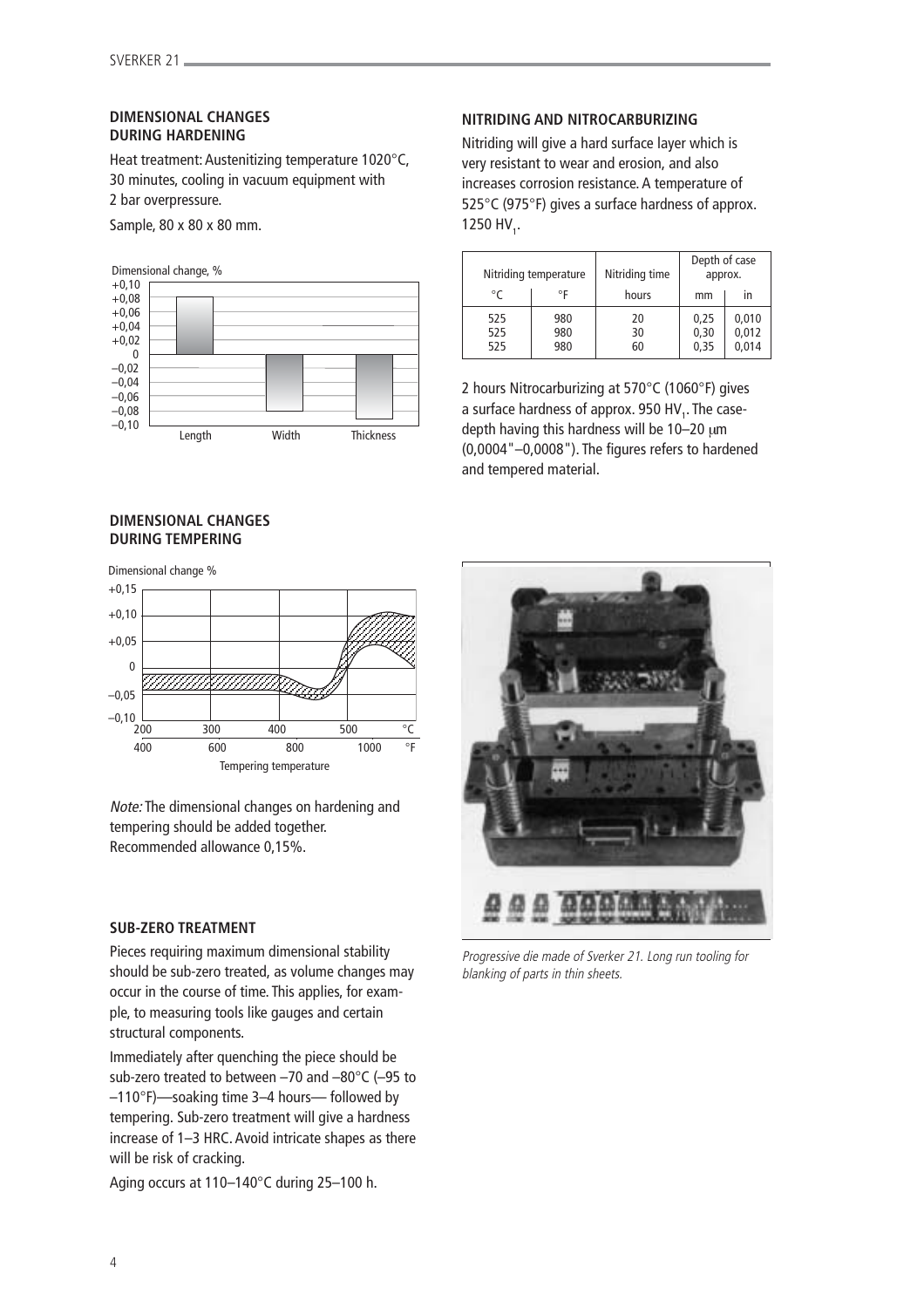# **DIMENSIONAL CHANGES DURING HARDENING**

Heat treatment: Austenitizing temperature 1020°C, 30 minutes, cooling in vacuum equipment with 2 bar overpressure.

Sample, 80 x 80 x 80 mm.





## **DIMENSIONAL CHANGES DURING TEMPERING**

# Dimensional change %  $+0.15$  $+0,10$  $+0,05$  0 –0,05  $-0,10$   $\underline{\cup}$ <br> $200$ 200 300 400 500 °C 400 600 800 1000 °F Tempering temperature

Note: The dimensional changes on hardening and tempering should be added together. Recommended allowance 0,15%.

# **SUB-ZERO TREATMENT**

Pieces requiring maximum dimensional stability should be sub-zero treated, as volume changes may occur in the course of time. This applies, for example, to measuring tools like gauges and certain structural components.

Immediately after quenching the piece should be sub-zero treated to between –70 and –80°C (–95 to –110°F)—soaking time 3–4 hours— followed by tempering. Sub-zero treatment will give a hardness increase of 1–3 HRC. Avoid intricate shapes as there will be risk of cracking.

Aging occurs at 110–140°C during 25–100 h.

# **NITRIDING AND NITROCARBURIZING**

Nitriding will give a hard surface layer which is very resistant to wear and erosion, and also increases corrosion resistance. A temperature of 525°C (975°F) gives a surface hardness of approx. 1250 HV<sub>1</sub>.

|                   | Nitriding temperature | Nitriding time | Depth of case<br>approx. |                         |
|-------------------|-----------------------|----------------|--------------------------|-------------------------|
| °C                | ۰F                    | hours          | mm                       | ın                      |
| 525<br>525<br>525 | 980<br>980<br>980     | 20<br>30<br>60 | 0,25<br>0,30<br>0,35     | 0,010<br>0,012<br>0,014 |

2 hours Nitrocarburizing at 570°C (1060°F) gives a surface hardness of approx. 950 HV<sub>1</sub>. The casedepth having this hardness will be 10–20 µm (0,0004"–0,0008"). The figures refers to hardened and tempered material.



Progressive die made of Sverker 21. Long run tooling for blanking of parts in thin sheets.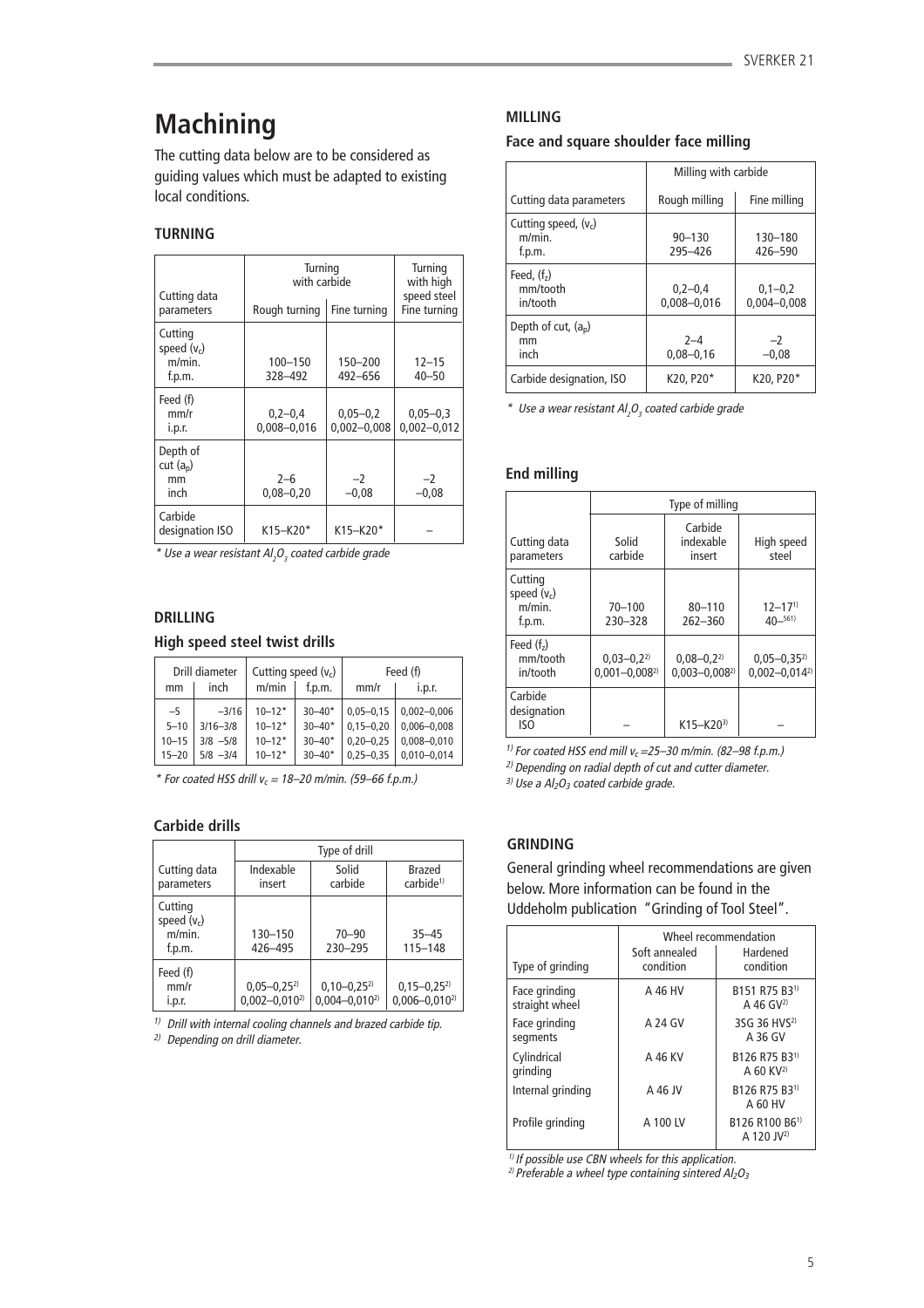# **Machining**

The cutting data below are to be considered as guiding values which must be adapted to existing local conditions.

# **TURNING**

| Cutting data<br>parameters                   | Turning<br>with carbide<br>Rough turning<br>Fine turning |                                 | Turning<br>with high<br>speed steel<br>Fine turning |
|----------------------------------------------|----------------------------------------------------------|---------------------------------|-----------------------------------------------------|
| Cutting<br>speed $(v_c)$<br>m/min.<br>f.p.m. | 100-150<br>328-492                                       | 150-200<br>492-656              | $12 - 15$<br>$40 - 50$                              |
| Feed (f)<br>mm/r<br>i.p.r.                   | $0,2-0,4$<br>$0.008 - 0.016$                             | $0,05 - 0,2$<br>$0,002 - 0,008$ | $0,05 - 0,3$<br>$0,002 - 0,012$                     |
| Depth of<br>cut $(a_n)$<br>mm<br>inch        | $2 - 6$<br>$0,08 - 0,20$                                 | $-2$<br>$-0.08$                 | $-2$<br>$-0,08$                                     |
| Carbide<br>designation ISO                   | K15-K20*                                                 | K15-K20*                        |                                                     |

 $^*$  Use a wear resistant Al $_2$ O $_3$  coated carbide grade

## **DRILLING**

## **High speed steel twist drills**

| Drill diameter<br>Cutting speed $(v_c)$ |                              | Feed (f)                 |                          |                                |                                    |
|-----------------------------------------|------------------------------|--------------------------|--------------------------|--------------------------------|------------------------------------|
| mm                                      | inch                         | m/min                    | f.p.m.                   | mm/r                           | i.p.r.                             |
| $-5$                                    | $-3/16$                      | $10 - 12*$               | $30 - 40*$               | $0.05 - 0.15$                  | $0,002 - 0,006$                    |
| $5 - 10$<br>$10 - 15$                   | $3/16 - 3/8$<br>$3/8$ $-5/8$ | $10 - 12*$<br>$10 - 12*$ | $30 - 40*$<br>$30 - 40*$ | $0,15 - 0,20$<br>$0.20 - 0.25$ | $0,006 - 0,008$<br>$0.008 - 0.010$ |
| $15 - 20$                               | $5/8$ $-3/4$                 | $10 - 12*$               | $30 - 40*$               | $0,25 - 0,35$                  | $0.010 - 0.014$                    |

 $*$  For coated HSS drill  $v_c = 18-20$  m/min. (59-66 f.p.m.)

# **Carbide drills**

|                                              | Type of drill                            |                                        |                                        |  |
|----------------------------------------------|------------------------------------------|----------------------------------------|----------------------------------------|--|
| Cutting data<br>parameters                   | Indexable<br>insert                      | Solid<br>carbide                       | Brazed<br>carbide <sup>1)</sup>        |  |
| Cutting<br>speed $(v_c)$<br>m/min.<br>f.p.m. | 130-150<br>426-495                       | $70 - 90$<br>230-295                   | $35 - 45$<br>$115 - 148$               |  |
| Feed (f)<br>mm/r<br>i.p.r.                   | $0,05 - 0,25^{2}$<br>$0,002 - 0,010^{2}$ | $0,10-0,25^{2}$<br>$0,004 - 0,010^{2}$ | $0,15-0,25^{2}$<br>$0,006 - 0,010^{2}$ |  |

 $1)$  Drill with internal cooling channels and brazed carbide tip.

2) Depending on drill diameter.

# **MILLING**

## **Face and square shoulder face milling**

|                                               | Milling with carbide           |                              |
|-----------------------------------------------|--------------------------------|------------------------------|
| Cutting data parameters                       | Rough milling                  | Fine milling                 |
| Cutting speed, $(v_c)$<br>$m/min$ .<br>f.p.m. | $90 - 130$<br>295-426          | 130-180<br>426-590           |
| Feed, $(fz)$<br>mm/tooth<br>in/tooth          | $0.2 - 0.4$<br>$0,008 - 0,016$ | $0,1-0,2$<br>$0.004 - 0.008$ |
| Depth of cut, $(a_n)$<br>mm<br>inch           | $2 - 4$<br>$0.08 - 0.16$       | $-2$<br>$-0.08$              |
| Carbide designation, ISO                      | K20, P20*                      | K20, P20*                    |

 $^*$  Use a wear resistant Al $_2$ O $_3$  coated carbide grade

## **End milling**

|                                                 | Type of milling                         |                                         |                                          |  |  |
|-------------------------------------------------|-----------------------------------------|-----------------------------------------|------------------------------------------|--|--|
| Cutting data<br>parameters                      | Solid<br>carbide                        | Carbide<br>indexable<br>insert          | High speed<br>steel                      |  |  |
| Cutting<br>speed $(v_c)$<br>$m/min$ .<br>f.p.m. | $70 - 100$<br>230-328                   | $80 - 110$<br>262-360                   | $12 - 17^{1}$<br>$40-561$                |  |  |
| Feed $(fz)$<br>mm/tooth<br>in/tooth             | $0.03 - 0.2^{2}$<br>$0,001 - 0,008^{2}$ | $0.08 - 0.2^{2}$<br>$0.003 - 0.008^{2}$ | $0.05 - 0.35^{2}$<br>$0.002 - 0.014^{2}$ |  |  |
| Carbide<br>designation<br>ISO                   |                                         | $K15 - K20^{3}$                         |                                          |  |  |

<sup>1)</sup> For coated HSS end mill  $v_c$  = 25–30 m/min. (82–98 f.p.m.)

2) Depending on radial depth of cut and cutter diameter.

 $3)$  Use a Al<sub>2</sub>O<sub>3</sub> coated carbide grade.

# **GRINDING**

General grinding wheel recommendations are given below. More information can be found in the Uddeholm publication "Grinding of Tool Steel".

|                                 | Wheel recommendation       |                                                      |  |  |
|---------------------------------|----------------------------|------------------------------------------------------|--|--|
| Type of grinding                | Soft annealed<br>condition | Hardened<br>condition                                |  |  |
| Face grinding<br>straight wheel | A 46 HV                    | B151 R75 B3 <sup>1)</sup><br>A 46 $GV^{2}$           |  |  |
| Face grinding<br>segments       | A 24 GV                    | 3SG 36 HVS <sup>2)</sup><br>A 36 GV                  |  |  |
| Cylindrical<br>grinding         | A 46 KV                    | B126 R75 B3 <sup>1)</sup><br>$A$ 60 KV <sup>2)</sup> |  |  |
| Internal grinding               | A 46 JV                    | B126 R75 B3 <sup>1)</sup><br>A 60 HV                 |  |  |
| Profile grinding                | A 100 LV                   | B126 R100 B61)<br>A 120 JV <sup>2)</sup>             |  |  |

 $\frac{1}{11}$  If possible use CBN wheels for this application.

<sup>2)</sup> Preferable a wheel type containing sintered  $Al_2O_3$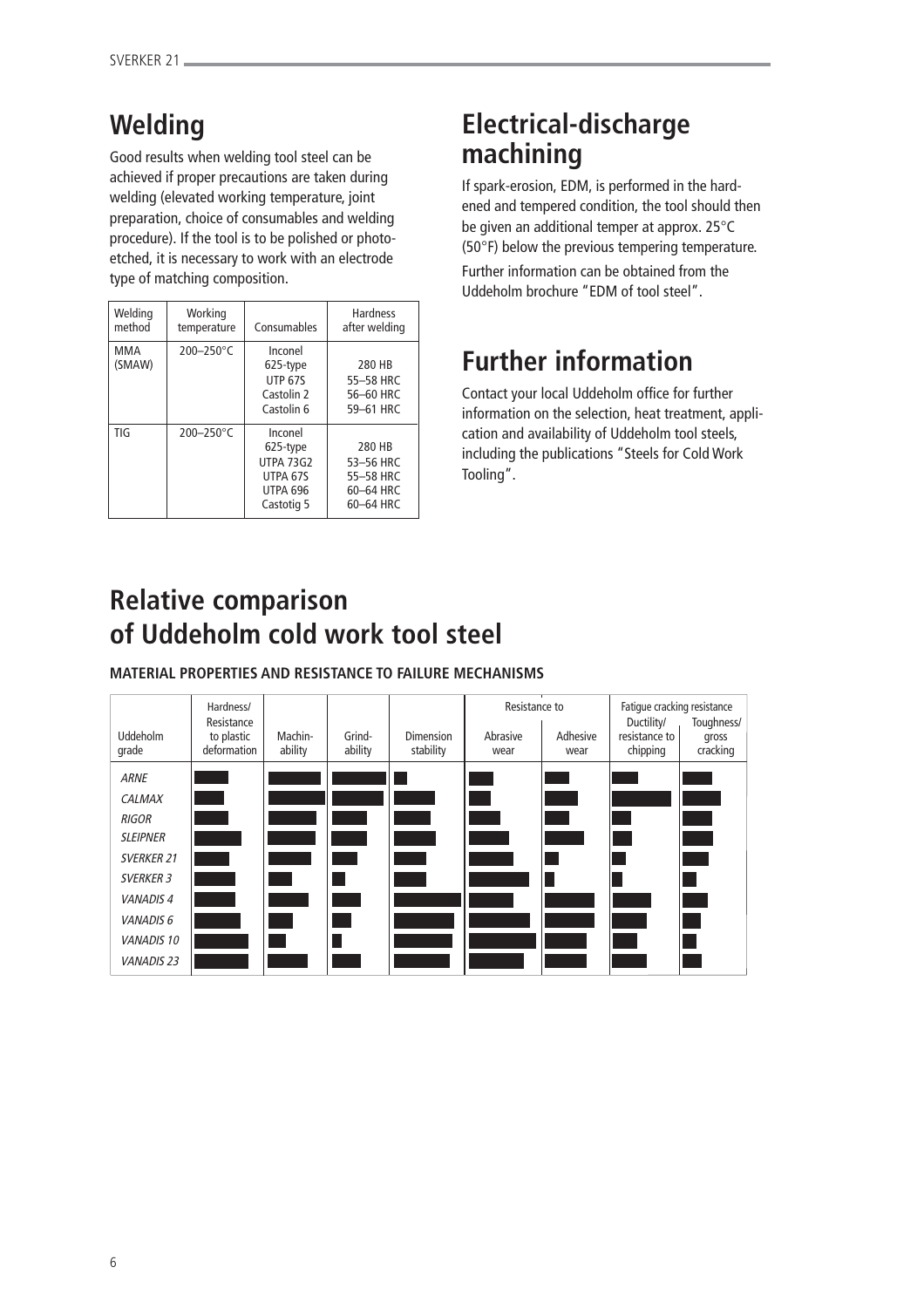# **Welding**

Good results when welding tool steel can be achieved if proper precautions are taken during welding (elevated working temperature, joint preparation, choice of consumables and welding procedure). If the tool is to be polished or photoetched, it is necessary to work with an electrode type of matching composition.

| Welding<br>method | Working<br>temperature | Consumables                                                                          | <b>Hardness</b><br>after welding                           |
|-------------------|------------------------|--------------------------------------------------------------------------------------|------------------------------------------------------------|
| MMA<br>(SMAW)     | $200 - 250$ °C         | Inconel<br>625-type<br><b>UTP 67S</b><br>Castolin 2<br>Castolin 6                    | 280 HB<br>55-58 HRC<br>56-60 HRC<br>59-61 HRC              |
| TIG               | $200 - 250$ °C         | Inconel<br>625-type<br><b>UTPA 73G2</b><br>UTPA 67S<br><b>UTPA 696</b><br>Castotig 5 | 280 HB<br>53-56 HRC<br>55-58 HRC<br>60-64 HRC<br>60-64 HRC |

# **Electrical-discharge machining**

If spark-erosion, EDM, is performed in the hardened and tempered condition, the tool should then be given an additional temper at approx. 25°C (50°F) below the previous tempering temperature.

Further information can be obtained from the Uddeholm brochure "EDM of tool steel".

# **Further information**

Contact your local Uddeholm office for further information on the selection, heat treatment, application and availability of Uddeholm tool steels, including the publications "Steels for Cold Work Tooling".

# **Relative comparison of Uddeholm cold work tool steel**

**MATERIAL PROPERTIES AND RESISTANCE TO FAILURE MECHANISMS**

| Uddeholm<br>grade    | Hardness/<br>Resistance<br>to plastic<br>deformation | Machin-<br>ability | Grind-<br>ability | <b>Dimension</b><br>stability | Resistance to<br>Abrasive<br>wear | Adhesive<br>wear | Fatique cracking resistance<br>Ductility/<br>resistance to<br>chipping | Toughness/<br>gross<br>cracking |
|----------------------|------------------------------------------------------|--------------------|-------------------|-------------------------------|-----------------------------------|------------------|------------------------------------------------------------------------|---------------------------------|
| <b>ARNE</b>          |                                                      |                    |                   |                               |                                   |                  |                                                                        |                                 |
| <b>CALMAX</b>        |                                                      |                    |                   |                               |                                   |                  |                                                                        |                                 |
| <b>RIGOR</b>         |                                                      |                    |                   |                               |                                   |                  |                                                                        |                                 |
| <b>SLEIPNER</b>      |                                                      |                    |                   |                               |                                   |                  |                                                                        |                                 |
| <b>SVERKER 21</b>    |                                                      |                    |                   |                               |                                   |                  |                                                                        |                                 |
| <b>SVERKER 3</b>     |                                                      |                    |                   |                               |                                   |                  |                                                                        |                                 |
| <b>VANADIS4</b>      |                                                      |                    |                   |                               |                                   |                  |                                                                        |                                 |
| VANADIS <sub>6</sub> |                                                      |                    |                   |                               |                                   |                  |                                                                        |                                 |
| <b>VANADIS 10</b>    |                                                      |                    |                   |                               |                                   |                  |                                                                        |                                 |
| <b>VANADIS 23</b>    |                                                      |                    |                   |                               |                                   |                  |                                                                        |                                 |